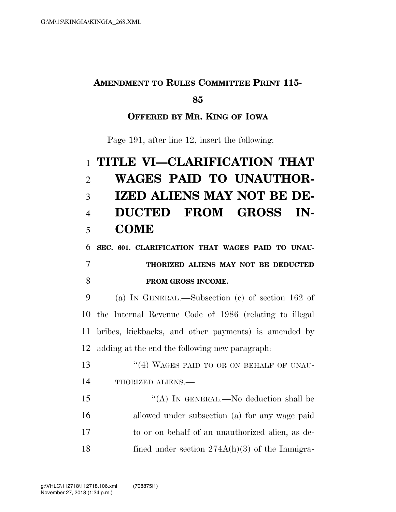### **AMENDMENT TO RULES COMMITTEE PRINT 115-**

#### 

### **OFFERED BY MR. KING OF IOWA**

Page 191, after line 12, insert the following:

# **TITLE VI—CLARIFICATION THAT WAGES PAID TO UNAUTHOR- IZED ALIENS MAY NOT BE DE- DUCTED FROM GROSS IN-COME**

**SEC. 601. CLARIFICATION THAT WAGES PAID TO UNAU-**

## **THORIZED ALIENS MAY NOT BE DEDUCTED FROM GROSS INCOME.**

 (a) IN GENERAL.—Subsection (c) of section 162 of the Internal Revenue Code of 1986 (relating to illegal bribes, kickbacks, and other payments) is amended by adding at the end the following new paragraph:

13 ''(4) WAGES PAID TO OR ON BEHALF OF UNAU-14 THORIZED ALIENS.—

 ''(A) IN GENERAL.—No deduction shall be allowed under subsection (a) for any wage paid to or on behalf of an unauthorized alien, as de-18 fined under section 274A(h)(3) of the Immigra-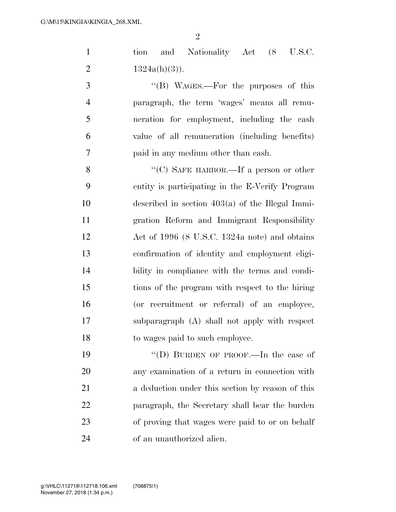| $\mathbf{1}$   | and Nationality Act (8 U.S.C.<br>tion              |
|----------------|----------------------------------------------------|
| $\overline{2}$ | $1324a(h)(3)$ ).                                   |
| 3              | "(B) WAGES.—For the purposes of this               |
| $\overline{4}$ | paragraph, the term 'wages' means all remu-        |
| 5              | neration for employment, including the cash        |
| 6              | value of all remuneration (including benefits)     |
| 7              | paid in any medium other than eash.                |
| 8              | "(C) SAFE HARBOR.—If a person or other             |
| 9              | entity is participating in the E-Verify Program    |
| 10             | described in section $403(a)$ of the Illegal Immi- |
| 11             | gration Reform and Immigrant Responsibility        |
| 12             | Act of 1996 (8 U.S.C. 1324a note) and obtains      |
| 13             | confirmation of identity and employment eligi-     |
| 14             | bility in compliance with the terms and condi-     |
| 15             | tions of the program with respect to the hiring    |
| 16             | (or recruitment or referral) of an employee,       |
| 17             | subparagraph (A) shall not apply with respect      |
| 18             | to wages paid to such employee.                    |
| 19             | "(D) BURDEN OF PROOF.—In the case of               |
| 20             | any examination of a return in connection with     |
| 21             | a deduction under this section by reason of this   |
| 22             | paragraph, the Secretary shall bear the burden     |

 of proving that wages were paid to or on behalf of an unauthorized alien.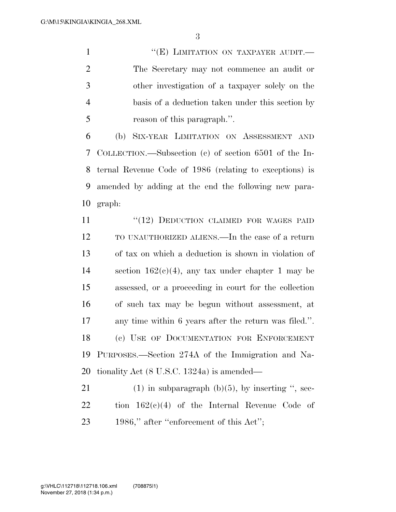1 ''(E) LIMITATION ON TAXPAYER AUDIT. The Secretary may not commence an audit or other investigation of a taxpayer solely on the basis of a deduction taken under this section by reason of this paragraph.''.

 (b) SIX-YEAR LIMITATION ON ASSESSMENT AND COLLECTION.—Subsection (c) of section 6501 of the In- ternal Revenue Code of 1986 (relating to exceptions) is amended by adding at the end the following new para-graph:

11 "(12) DEDUCTION CLAIMED FOR WAGES PAID TO UNAUTHORIZED ALIENS.—In the case of a return of tax on which a deduction is shown in violation of 14 section  $162(c)(4)$ , any tax under chapter 1 may be assessed, or a proceeding in court for the collection of such tax may be begun without assessment, at any time within 6 years after the return was filed.''. (c) USE OF DOCUMENTATION FOR ENFORCEMENT PURPOSES.—Section 274A of the Immigration and Na-tionality Act (8 U.S.C. 1324a) is amended—

21 (1) in subparagraph  $(b)(5)$ , by inserting ", sec- tion 162(c)(4) of the Internal Revenue Code of 23 1986," after "enforcement of this Act";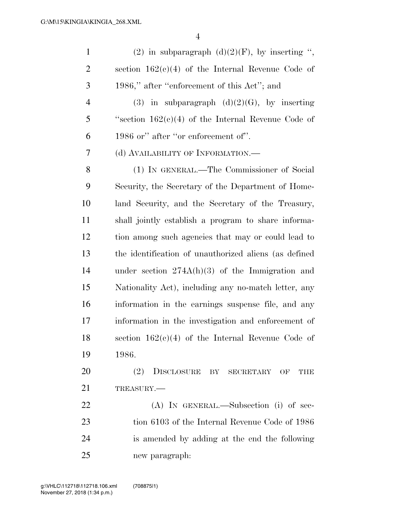| $\mathbf{1}$   | (2) in subparagraph $(d)(2)(F)$ , by inserting ",     |
|----------------|-------------------------------------------------------|
| $\overline{2}$ | section $162(c)(4)$ of the Internal Revenue Code of   |
| 3              | 1986," after "enforcement of this Act"; and           |
| $\overline{4}$ | (3) in subparagraph $(d)(2)(G)$ , by inserting        |
| 5              | "section $162(c)(4)$ of the Internal Revenue Code of  |
| 6              | 1986 or" after "or enforcement of".                   |
| 7              | (d) AVAILABILITY OF INFORMATION.—                     |
| 8              | (1) IN GENERAL.—The Commissioner of Social            |
| 9              | Security, the Secretary of the Department of Home-    |
| 10             | land Security, and the Secretary of the Treasury,     |
| 11             | shall jointly establish a program to share informa-   |
| 12             | tion among such agencies that may or could lead to    |
| 13             | the identification of unauthorized aliens (as defined |
| 14             | under section $274A(h)(3)$ of the Immigration and     |
| 15             | Nationality Act), including any no-match letter, any  |
| 16             | information in the earnings suspense file, and any    |
| 17             | information in the investigation and enforcement of   |
| 18             | section $162(c)(4)$ of the Internal Revenue Code of   |
| 19             | 1986.                                                 |
| 20             | DISCLOSURE BY SECRETARY<br>(2)<br>THE<br>OF           |
| 21             | TREASURY.                                             |
| 22             | (A) IN GENERAL.—Subsection (i) of sec-                |
| 23             | tion 6103 of the Internal Revenue Code of 1986        |
| 24             | is amended by adding at the end the following         |
| 25             | new paragraph:                                        |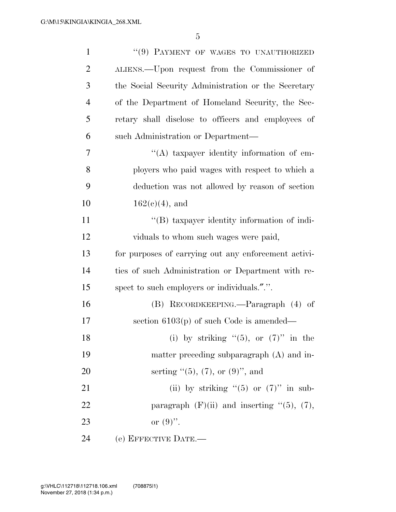| $\mathbf{1}$   | "(9) PAYMENT OF WAGES TO UNAUTHORIZED                |
|----------------|------------------------------------------------------|
| $\overline{2}$ | ALIENS.—Upon request from the Commissioner of        |
| 3              | the Social Security Administration or the Secretary  |
| $\overline{4}$ | of the Department of Homeland Security, the Sec-     |
| 5              | retary shall disclose to officers and employees of   |
| 6              | such Administration or Department-                   |
| 7              | "(A) taxpayer identity information of em-            |
| 8              | ployers who paid wages with respect to which a       |
| 9              | deduction was not allowed by reason of section       |
| 10             | $162(e)(4)$ , and                                    |
| 11             | "(B) taxpayer identity information of indi-          |
| 12             | viduals to whom such wages were paid,                |
| 13             | for purposes of carrying out any enforcement activi- |
| 14             | ties of such Administration or Department with re-   |
| 15             | spect to such employers or individuals.".".          |
| 16             | (B) RECORDKEEPING.—Paragraph (4) of                  |
| 17             | section $6103(p)$ of such Code is amended—           |
| 18             | (i) by striking $(5)$ , or $(7)$ in the              |
| 19             | matter preceding subparagraph (A) and in-            |
| 20             | serting $(5)$ , (7), or (9)", and                    |
| 21             | (ii) by striking " $(5)$ or $(7)$ " in sub-          |
| 22             | paragraph $(F)(ii)$ and inserting " $(5)$ , $(7)$ ,  |
| 23             | or $(9)$ .                                           |
| 24             | (e) EFFECTIVE DATE.-                                 |